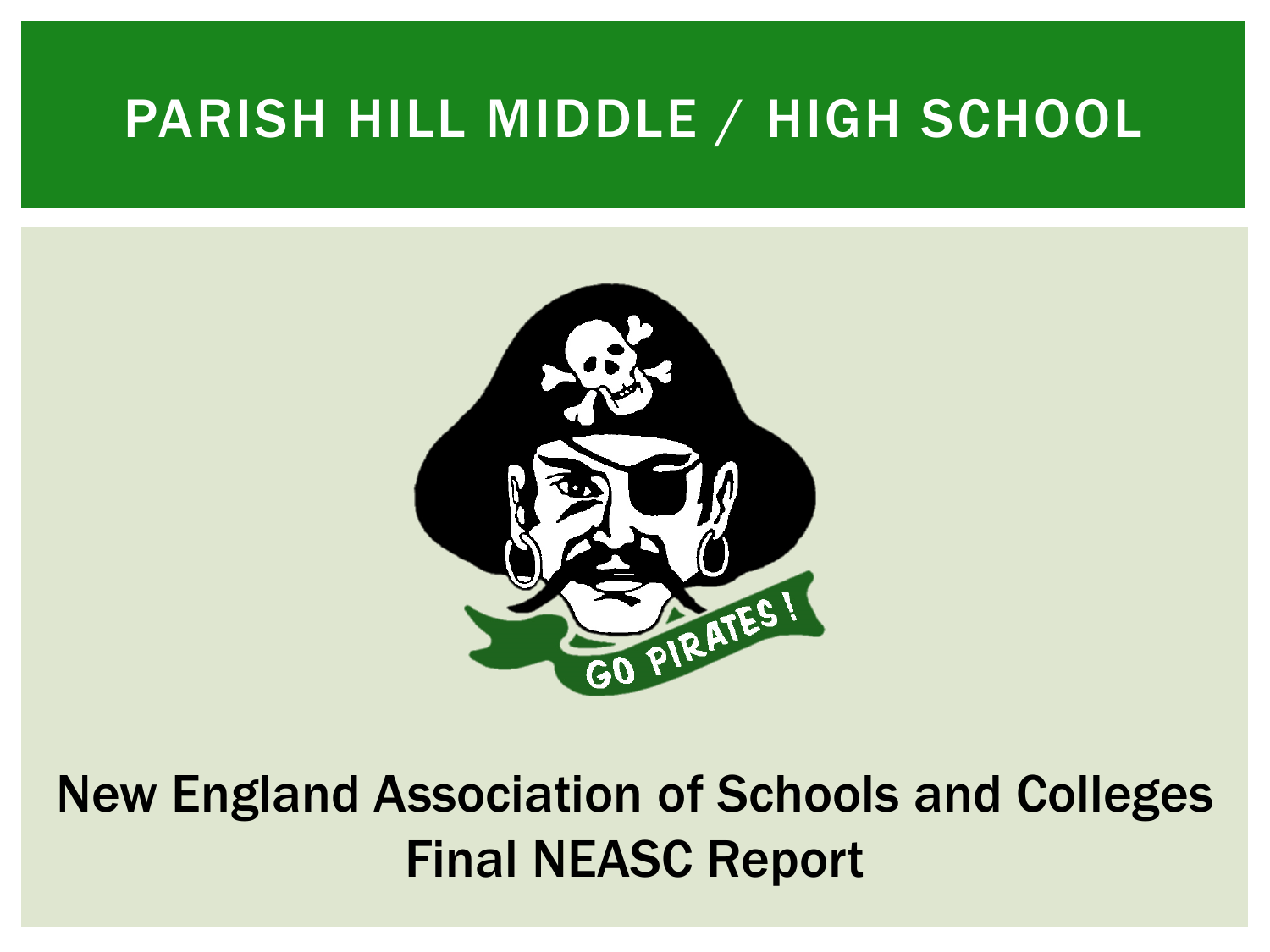### PARISH HILL MIDDLE / HIGH SCHOOL



New England Association of Schools and Colleges Final NEASC Report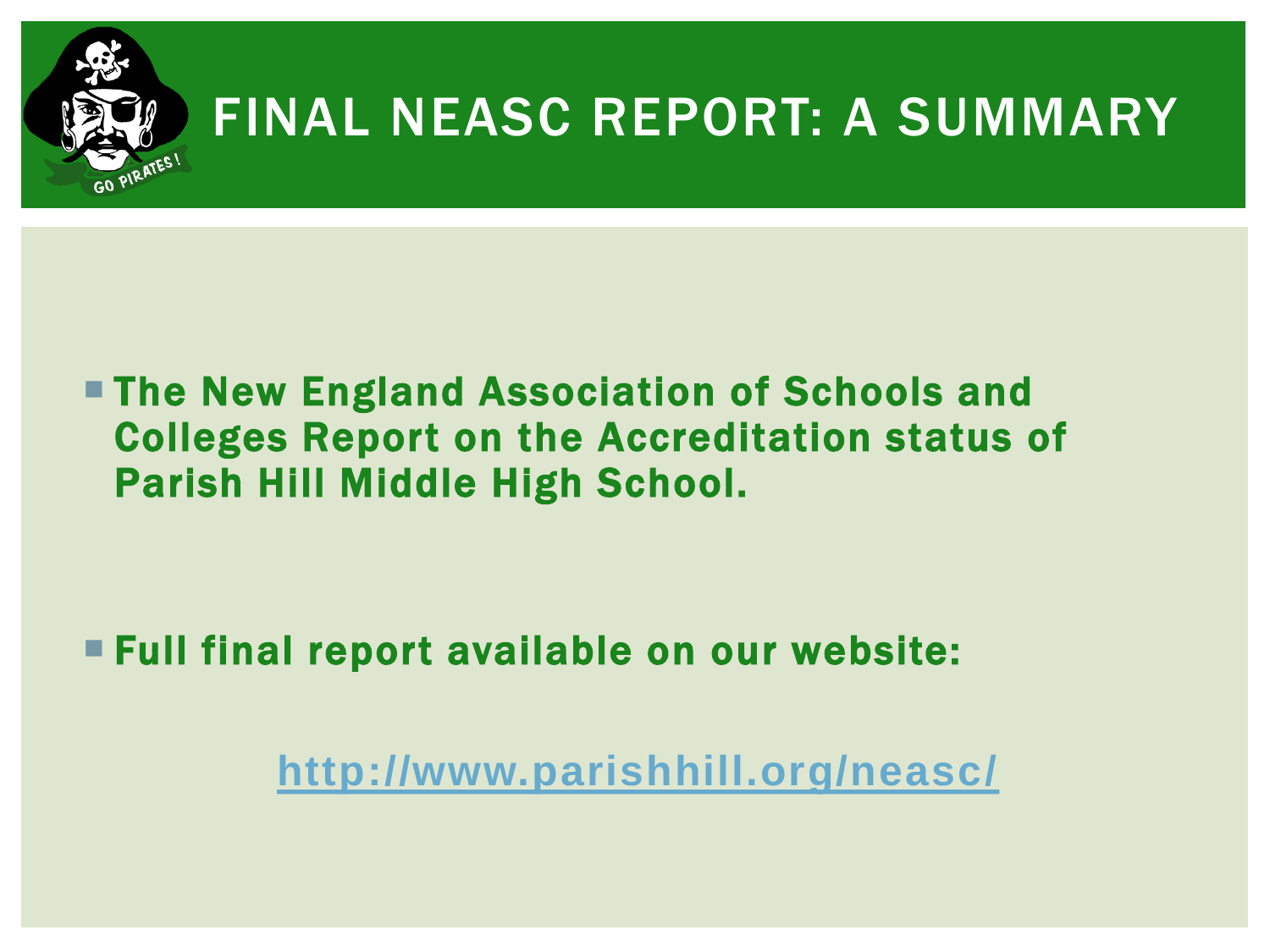

### FINAL NEASC REPORT: A SUMMARY

#### **The New England Association of Schools and** Colleges Report on the Accreditation status of Parish Hill Middle High School.

Full final report available on our website:

**<http://www.parishhill.org/neasc/>**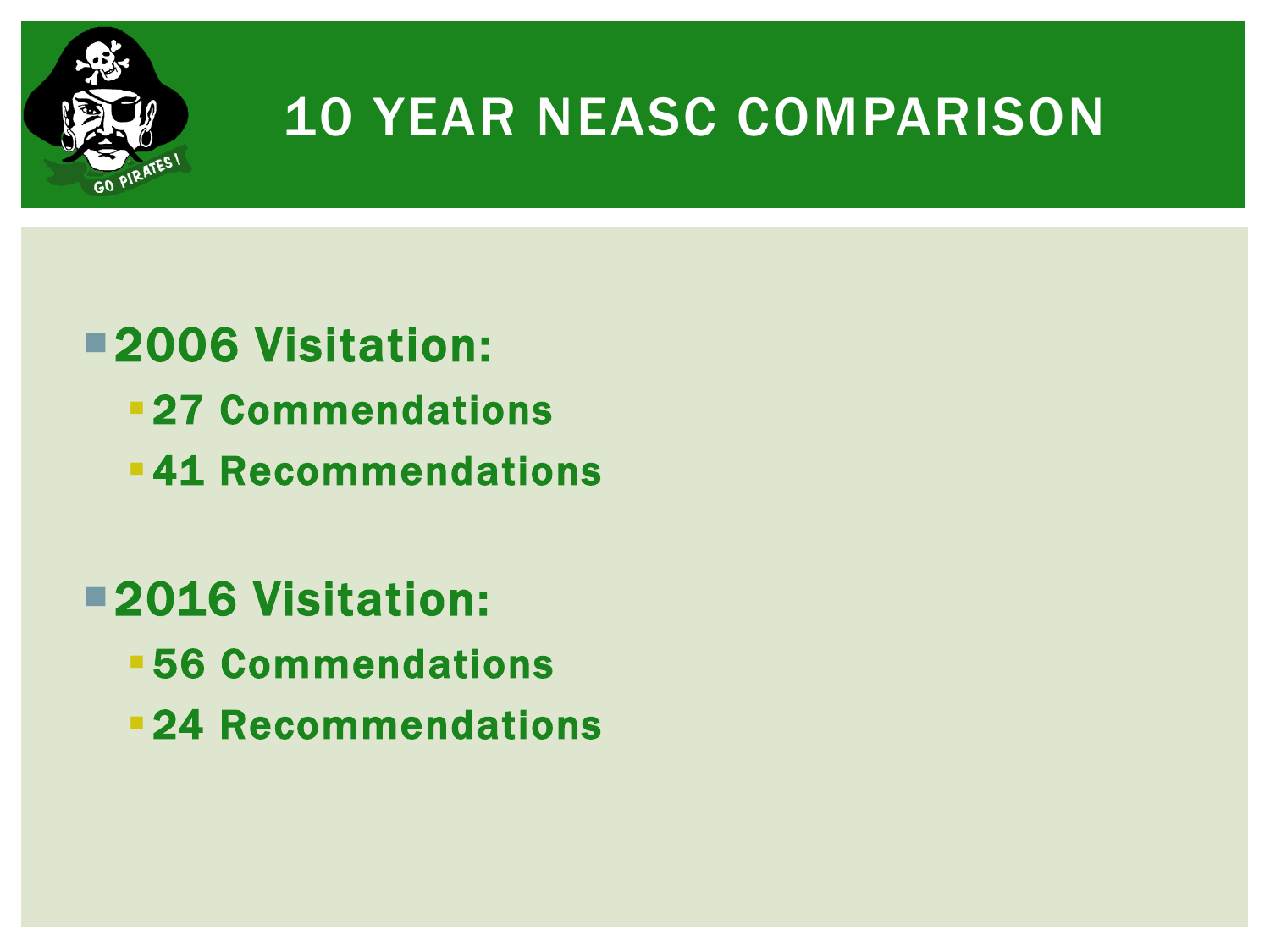

### 10 YEAR NEASC COMPARISON

### 2006 Visitation:

- **27 Commendations**
- **-41 Recommendations**
- 2016 Visitation:
	- 56 Commendations
	- **24 Recommendations**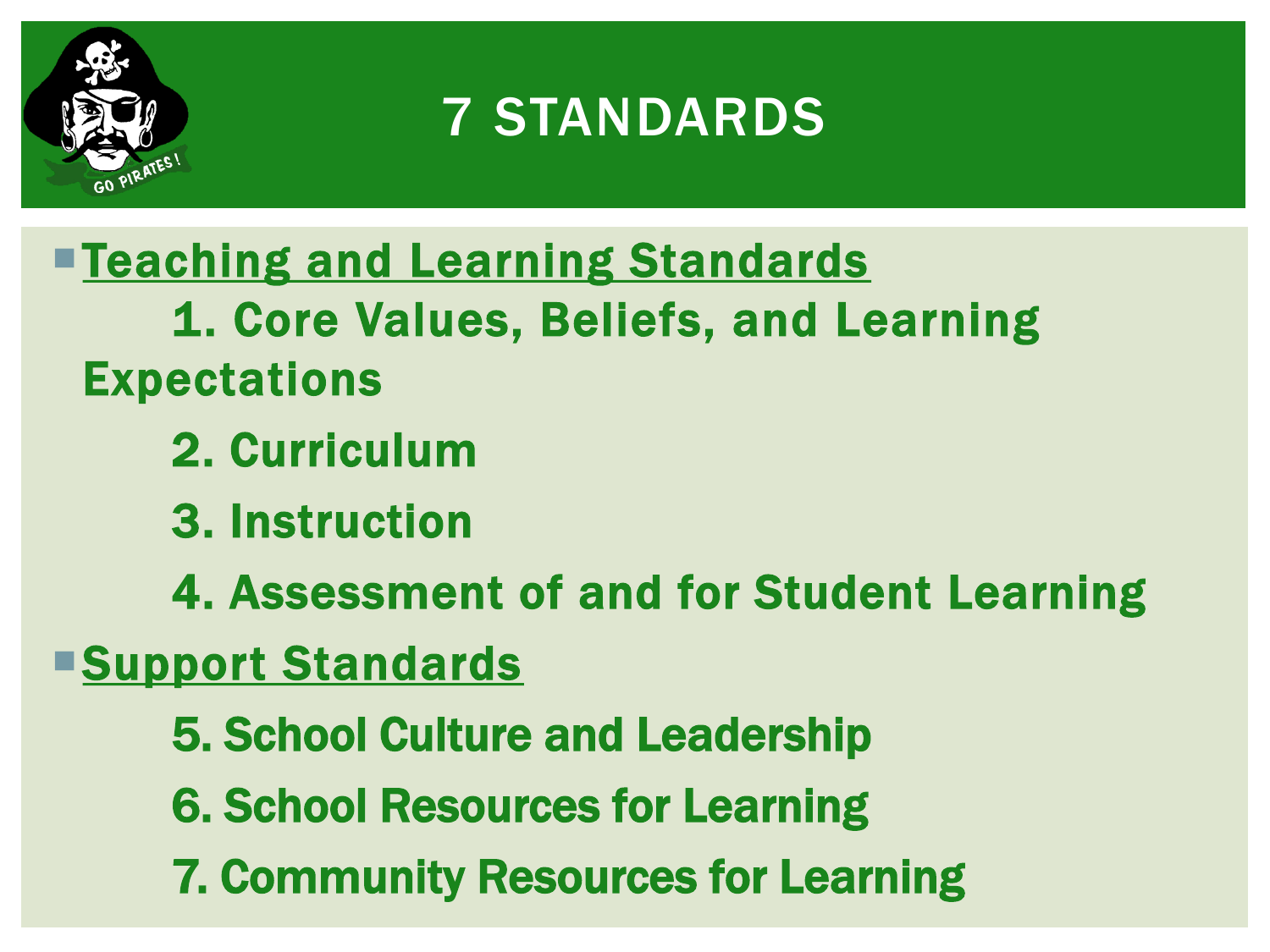

### 7 STANDARDS

**Teaching and Learning Standards** 1. Core Values, Beliefs, and Learning Expectations

- 2. Curriculum
- 3. Instruction
- 4. Assessment of and for Student Learning

**Support Standards** 

- 5. School Culture and Leadership
- 6. School Resources for Learning
- 7. Community Resources for Learning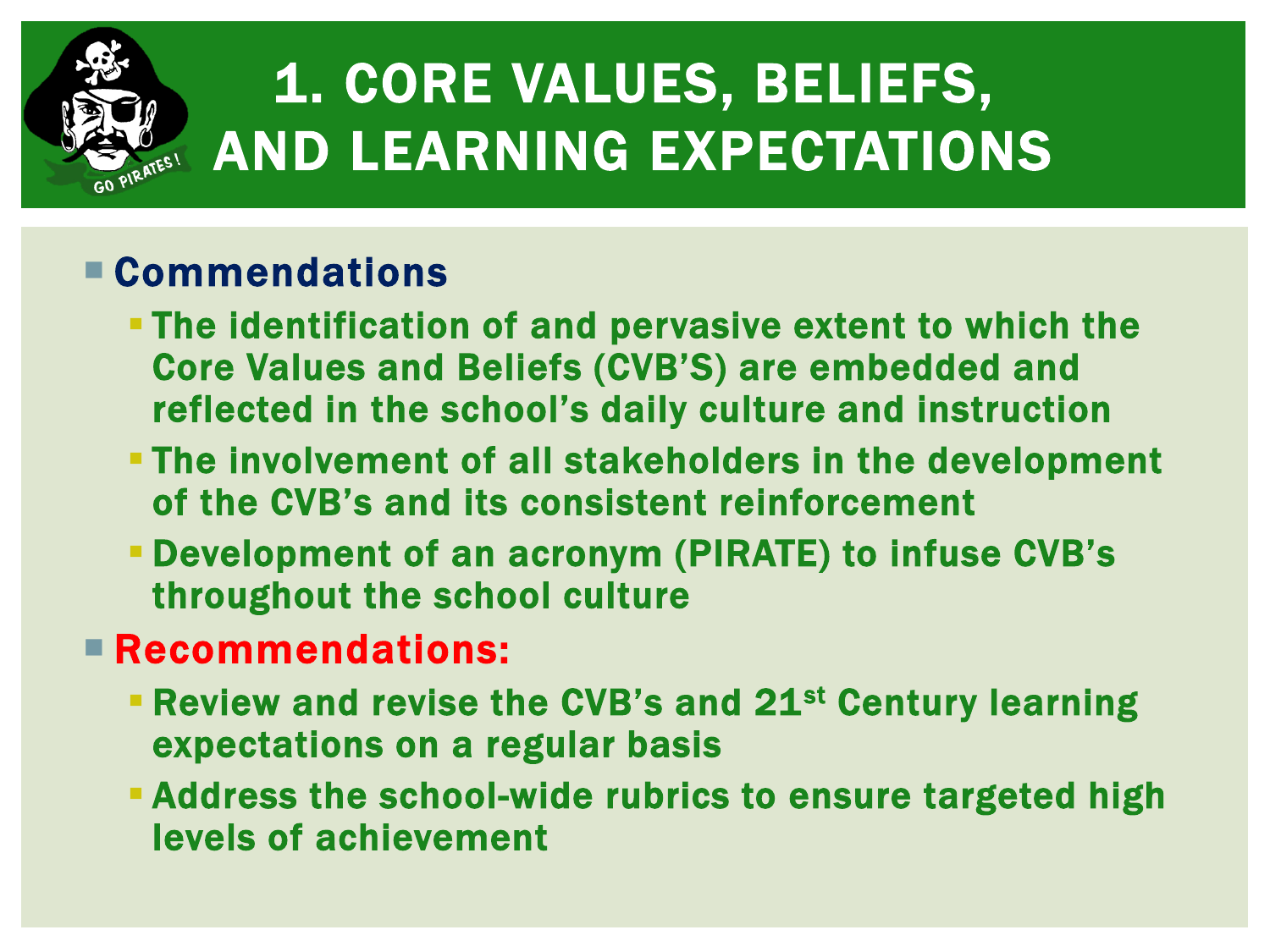

# 1. CORE VALUES, BELIEFS, AND LEARNING EXPECTATIONS

#### Commendations

- The identification of and pervasive extent to which the Core Values and Beliefs (CVB'S) are embedded and reflected in the school's daily culture and instruction
- The involvement of all stakeholders in the development of the CVB's and its consistent reinforcement
- Development of an acronym (PIRATE) to infuse CVB's throughout the school culture

- **Review and revise the CVB's and 21st Century learning** expectations on a regular basis
- Address the school-wide rubrics to ensure targeted high levels of achievement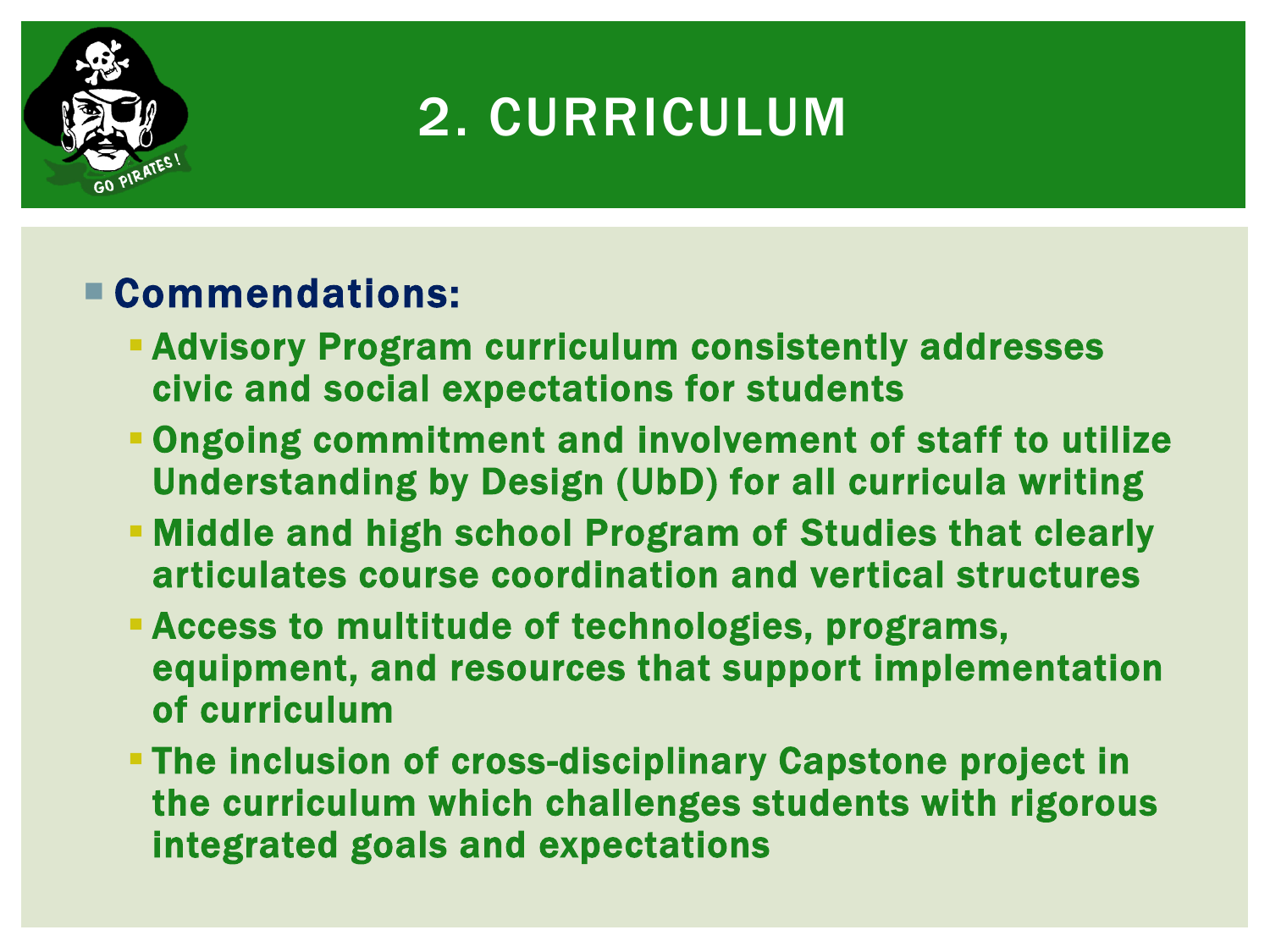

### 2. CURRICULUM

- **Advisory Program curriculum consistently addresses** civic and social expectations for students
- Ongoing commitment and involvement of staff to utilize Understanding by Design (UbD) for all curricula writing
- Middle and high school Program of Studies that clearly articulates course coordination and vertical structures
- Access to multitude of technologies, programs, equipment, and resources that support implementation of curriculum
- The inclusion of cross-disciplinary Capstone project in the curriculum which challenges students with rigorous integrated goals and expectations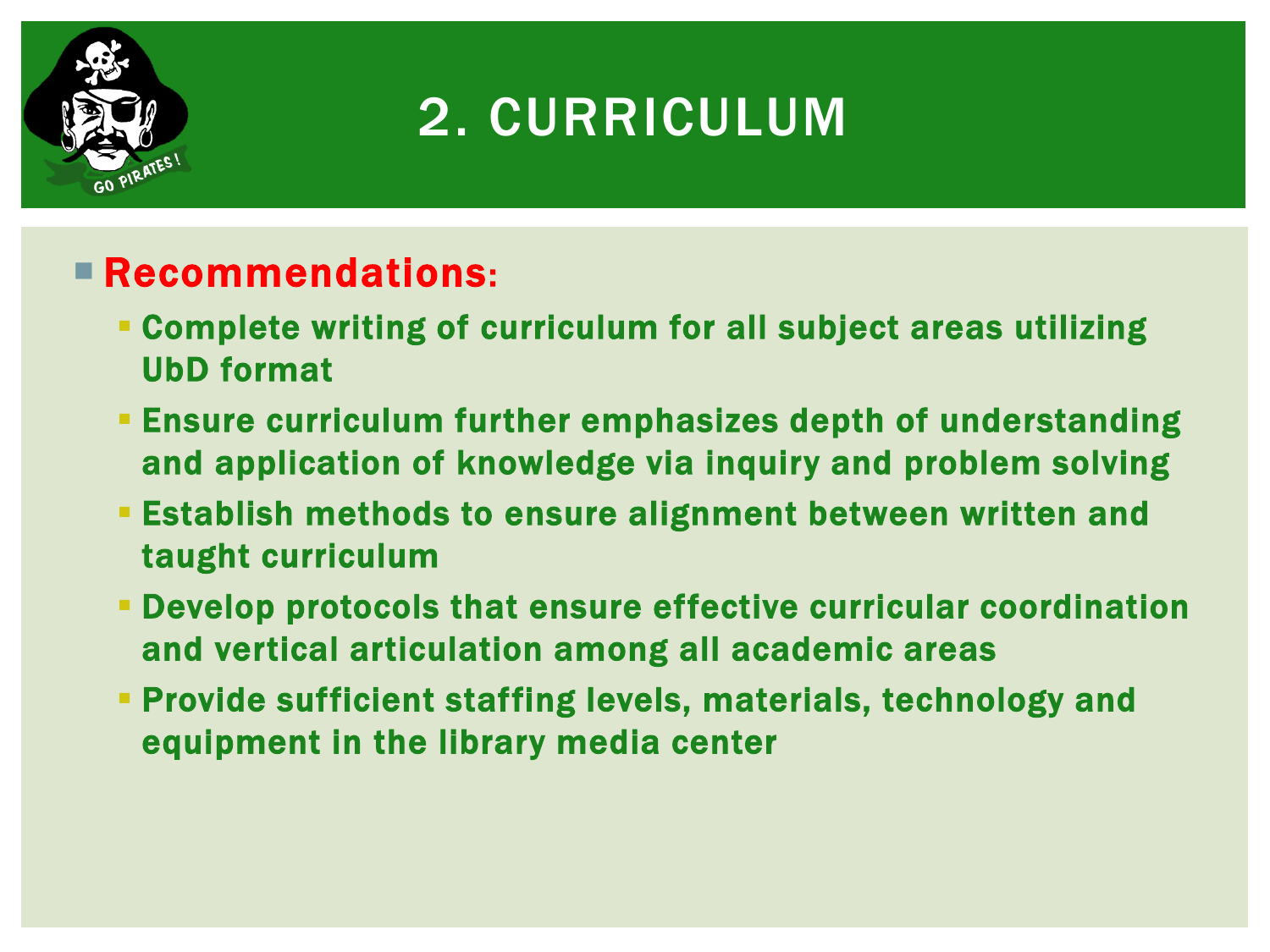

### 2. CURRICULUM

- Complete writing of curriculum for all subject areas utilizing UbD format
- Ensure curriculum further emphasizes depth of understanding and application of knowledge via inquiry and problem solving
- Establish methods to ensure alignment between written and taught curriculum
- Develop protocols that ensure effective curricular coordination and vertical articulation among all academic areas
- Provide sufficient staffing levels, materials, technology and equipment in the library media center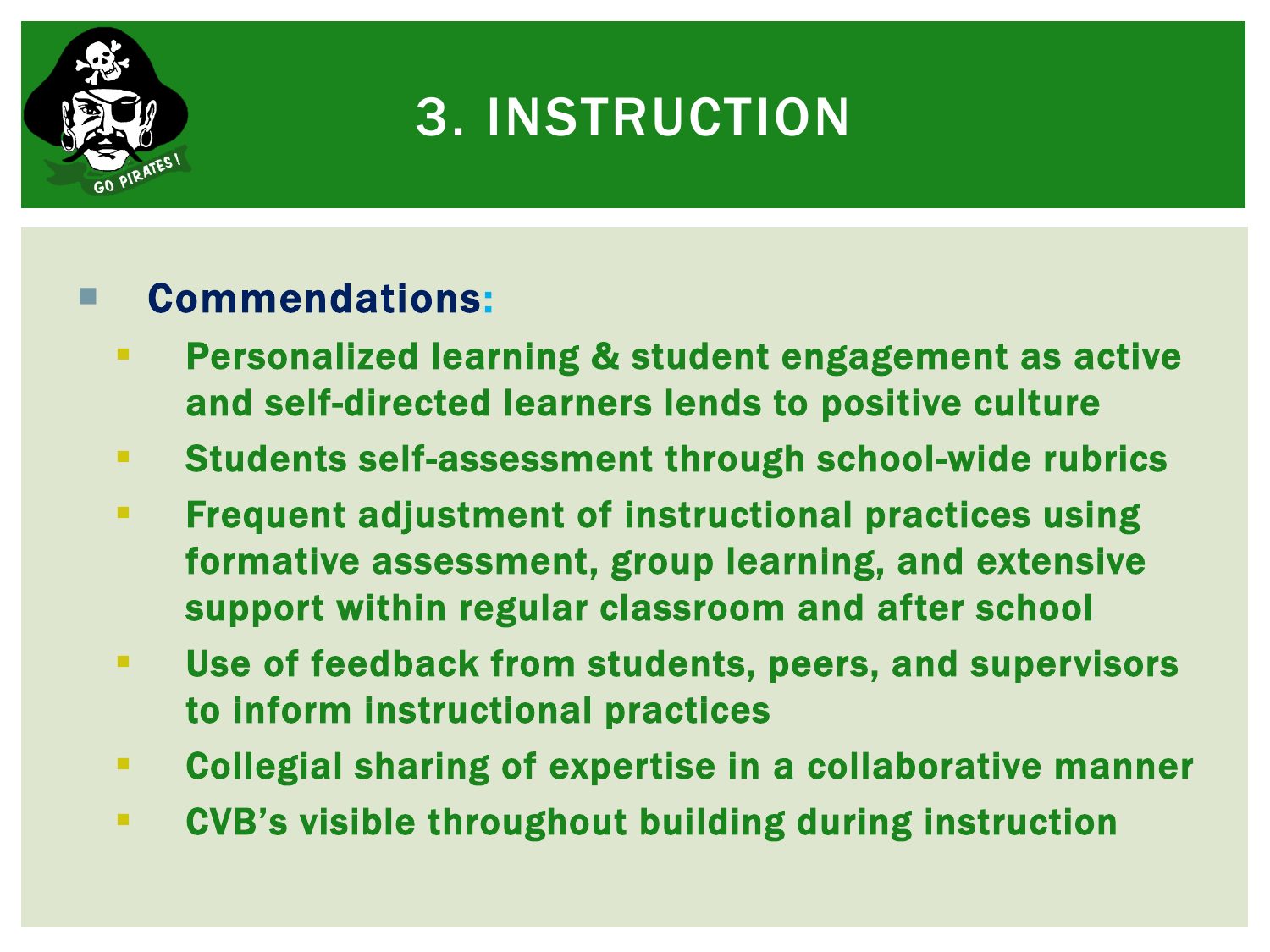

## 3. INSTRUCTION

- **Personalized learning & student engagement as active** and self-directed learners lends to positive culture
- Students self-assessment through school-wide rubrics
- **Figure 2** Frequent adjustment of instructional practices using formative assessment, group learning, and extensive support within regular classroom and after school
- Use of feedback from students, peers, and supervisors to inform instructional practices
- Collegial sharing of expertise in a collaborative manner
- CVB's visible throughout building during instruction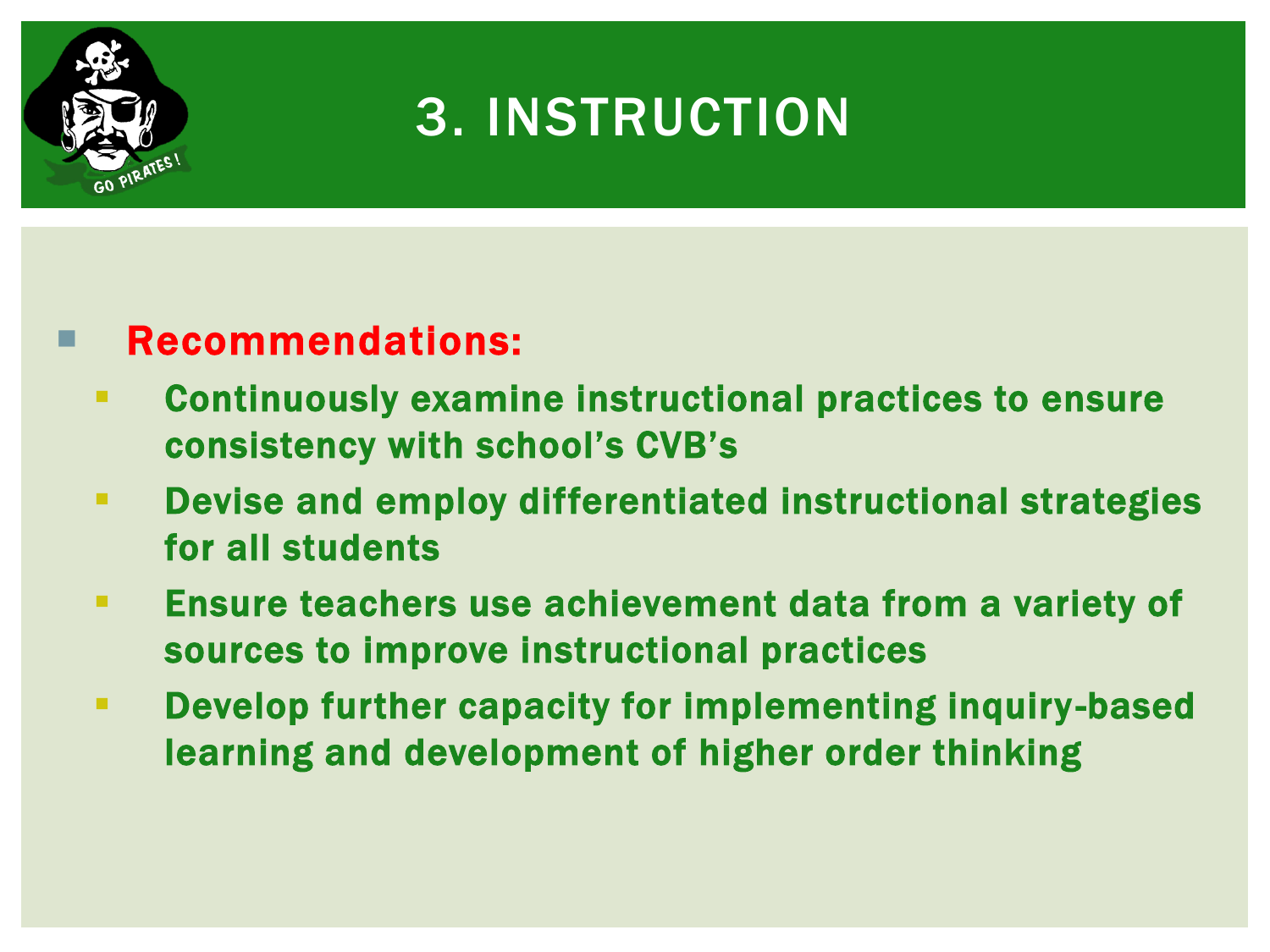

### 3. INSTRUCTION

- Continuously examine instructional practices to ensure consistency with school's CVB's
- Devise and employ differentiated instructional strategies for all students
- Ensure teachers use achievement data from a variety of sources to improve instructional practices
- Develop further capacity for implementing inquiry -based learning and development of higher order thinking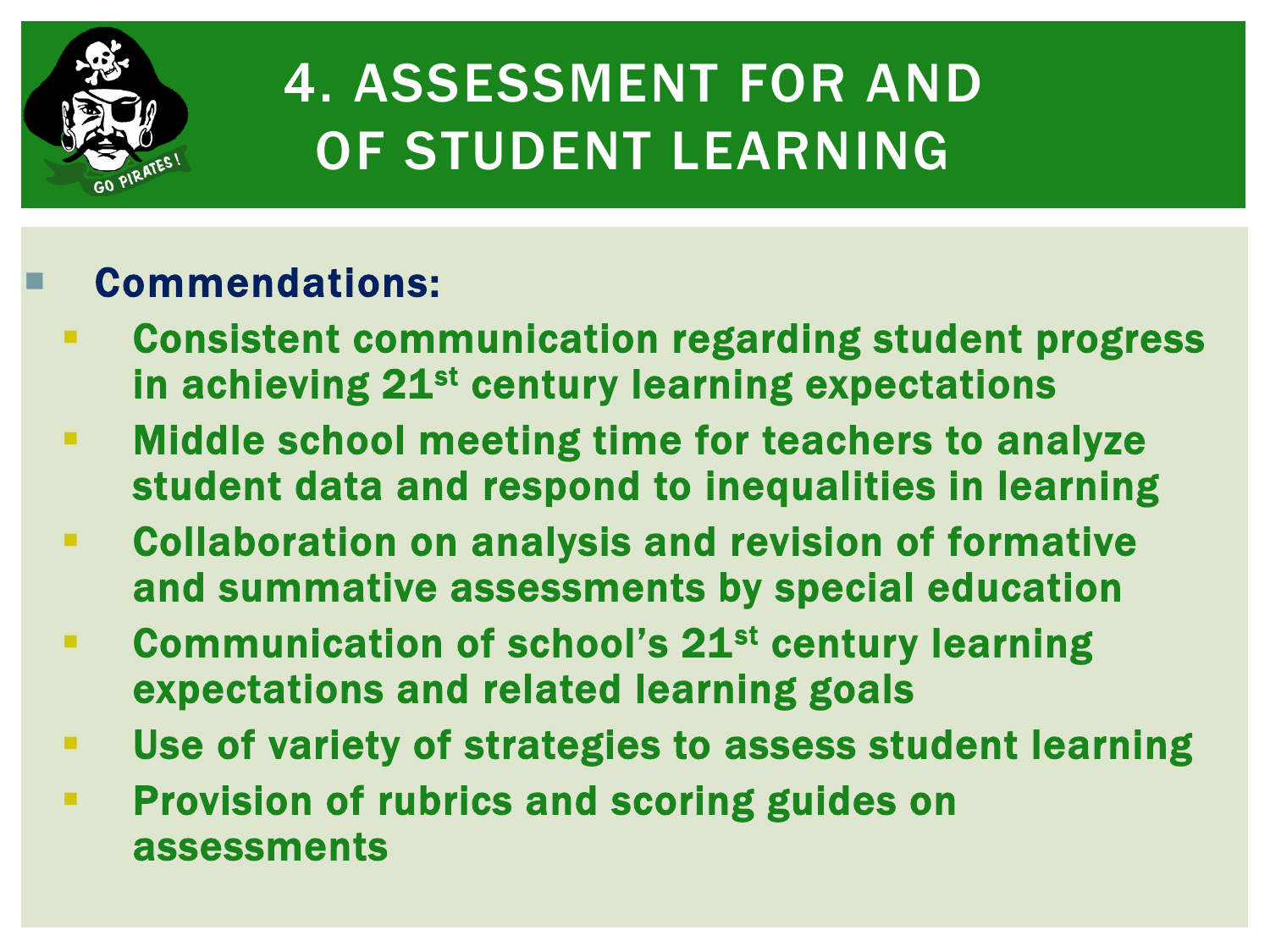

## 4. ASSESSMENT FOR AND OF STUDENT LEARNING

- Consistent communication regarding student progress in achieving 21<sup>st</sup> century learning expectations
- **EXED Middle school meeting time for teachers to analyze** student data and respond to inequalities in learning
- Collaboration on analysis and revision of formative and summative assessments by special education
- **EXECOMMUNICATED OF SCHOOL'S 21st century learning** expectations and related learning goals
- Use of variety of strategies to assess student learning
- **Provision of rubrics and scoring guides on** assessments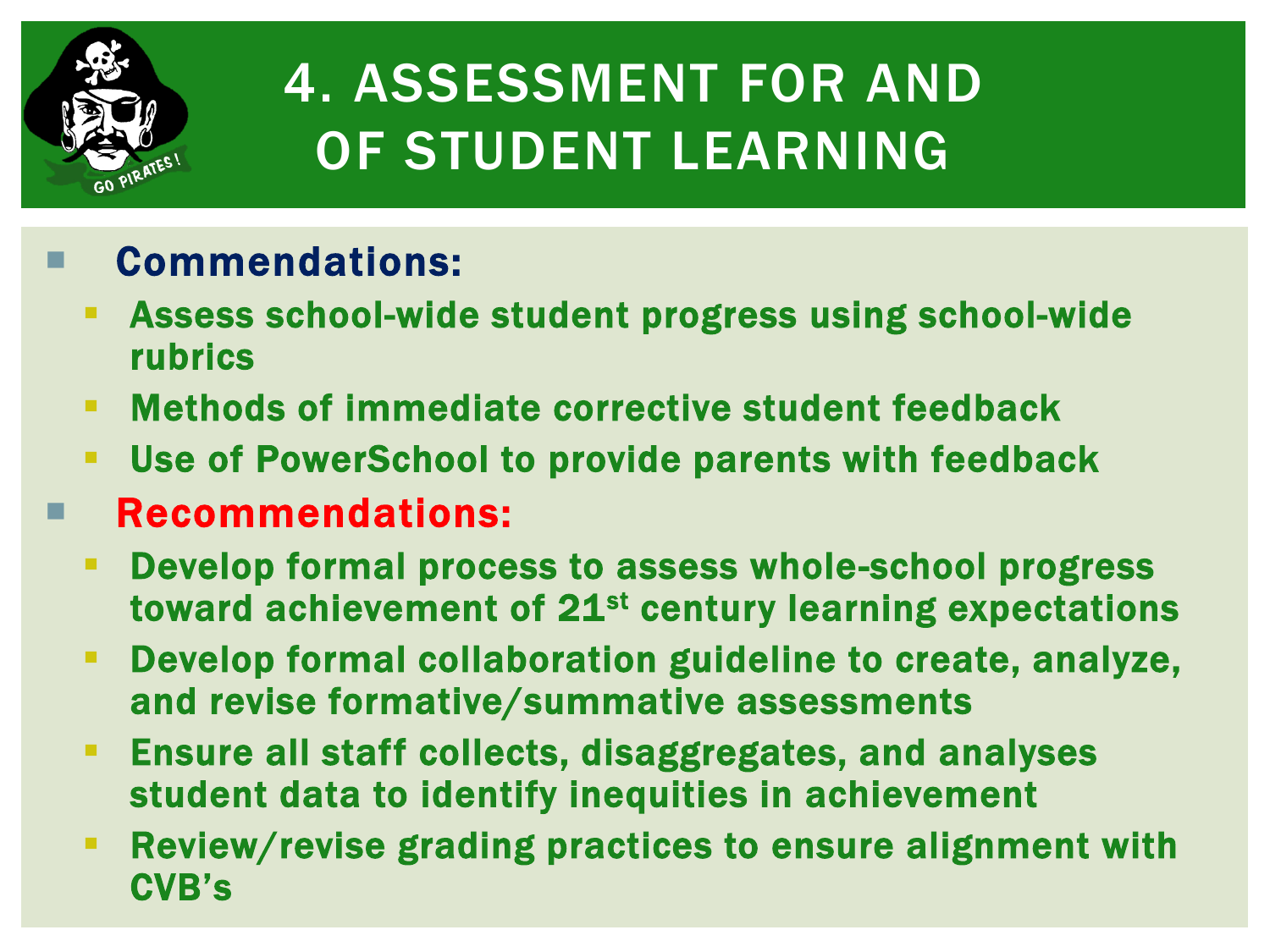

# 4. ASSESSMENT FOR AND OF STUDENT LEARNING

- Assess school-wide student progress using school-wide rubrics
- Methods of immediate corrective student feedback
- Use of PowerSchool to provide parents with feedback
- Recommendations:
	- Develop formal process to assess whole-school progress toward achievement of 21<sup>st</sup> century learning expectations
	- Develop formal collaboration guideline to create, analyze, and revise formative/summative assessments
	- **Ensure all staff collects, disaggregates, and analyses** student data to identify inequities in achievement
	- Review/revise grading practices to ensure alignment with CVB's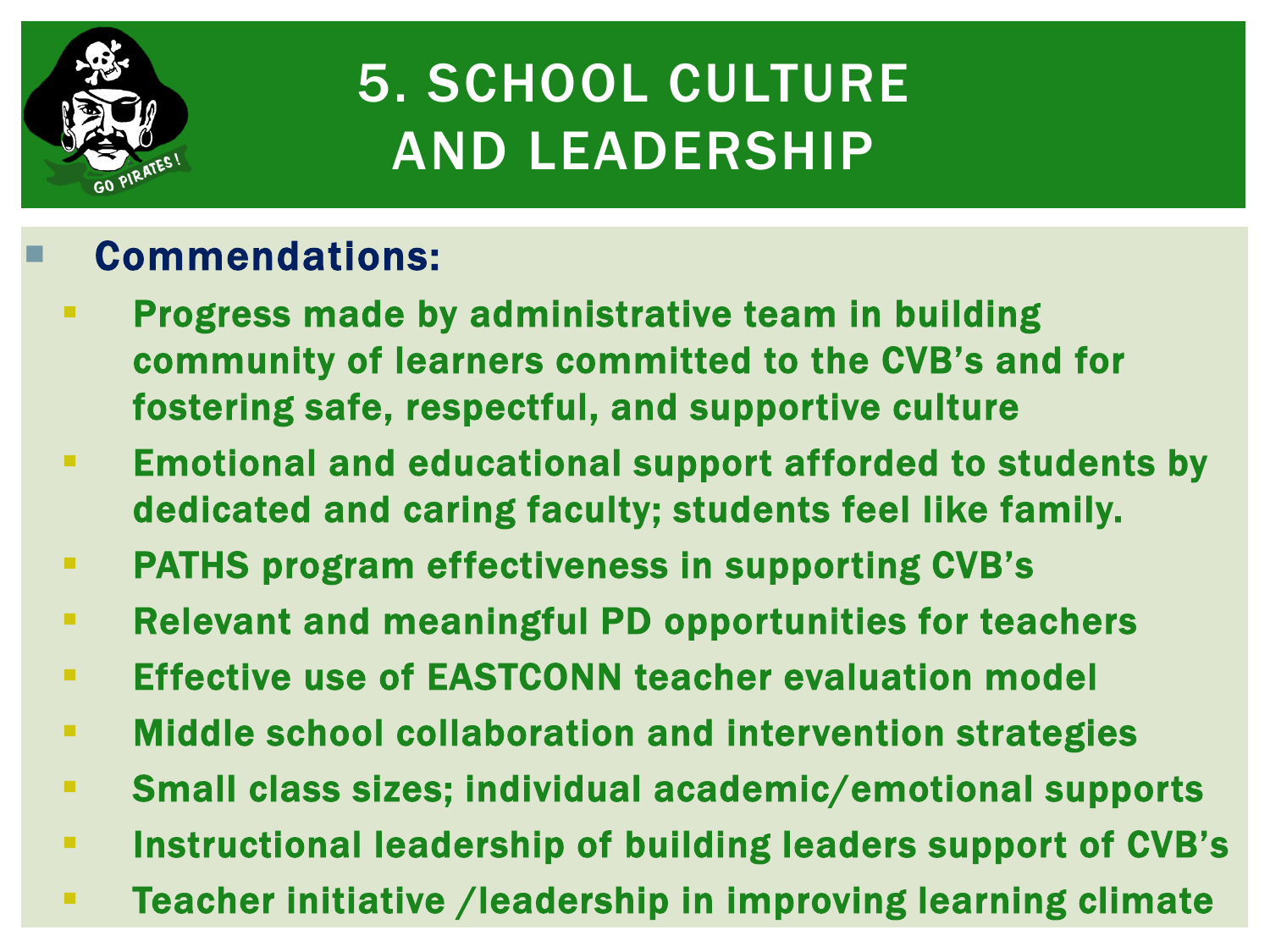

## 5. SCHOOL CULTURE AND LEADERSHIP

- **Progress made by administrative team in building** community of learners committed to the CVB's and for fostering safe, respectful, and supportive culture
- Emotional and educational support afforded to students by dedicated and caring faculty; students feel like family.
- PATHS program effectiveness in supporting CVB's
- Relevant and meaningful PD opportunities for teachers
- **Effective use of EASTCONN teacher evaluation model**
- **EXEDENT Middle school collaboration and intervention strategies**
- Small class sizes; individual academic/emotional supports
- **Instructional leadership of building leaders support of CVB's**
- Teacher initiative /leadership in improving learning climate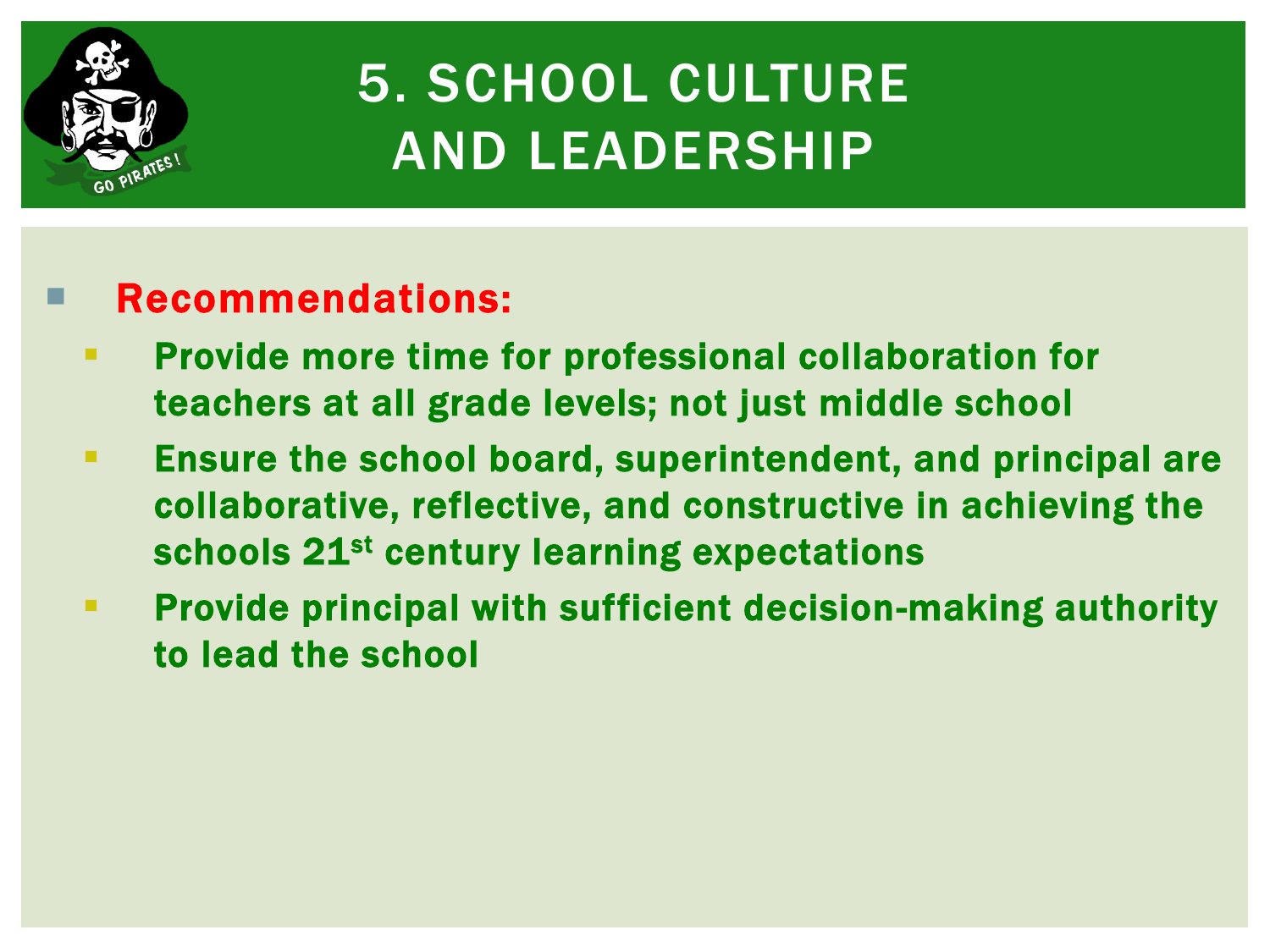

## 5. SCHOOL CULTURE AND LEADERSHIP

- **Provide more time for professional collaboration for** teachers at all grade levels; not just middle school
- Ensure the school board, superintendent, and principal are collaborative, reflective, and constructive in achieving the schools 21<sup>st</sup> century learning expectations
- **Provide principal with sufficient decision-making authority** to lead the school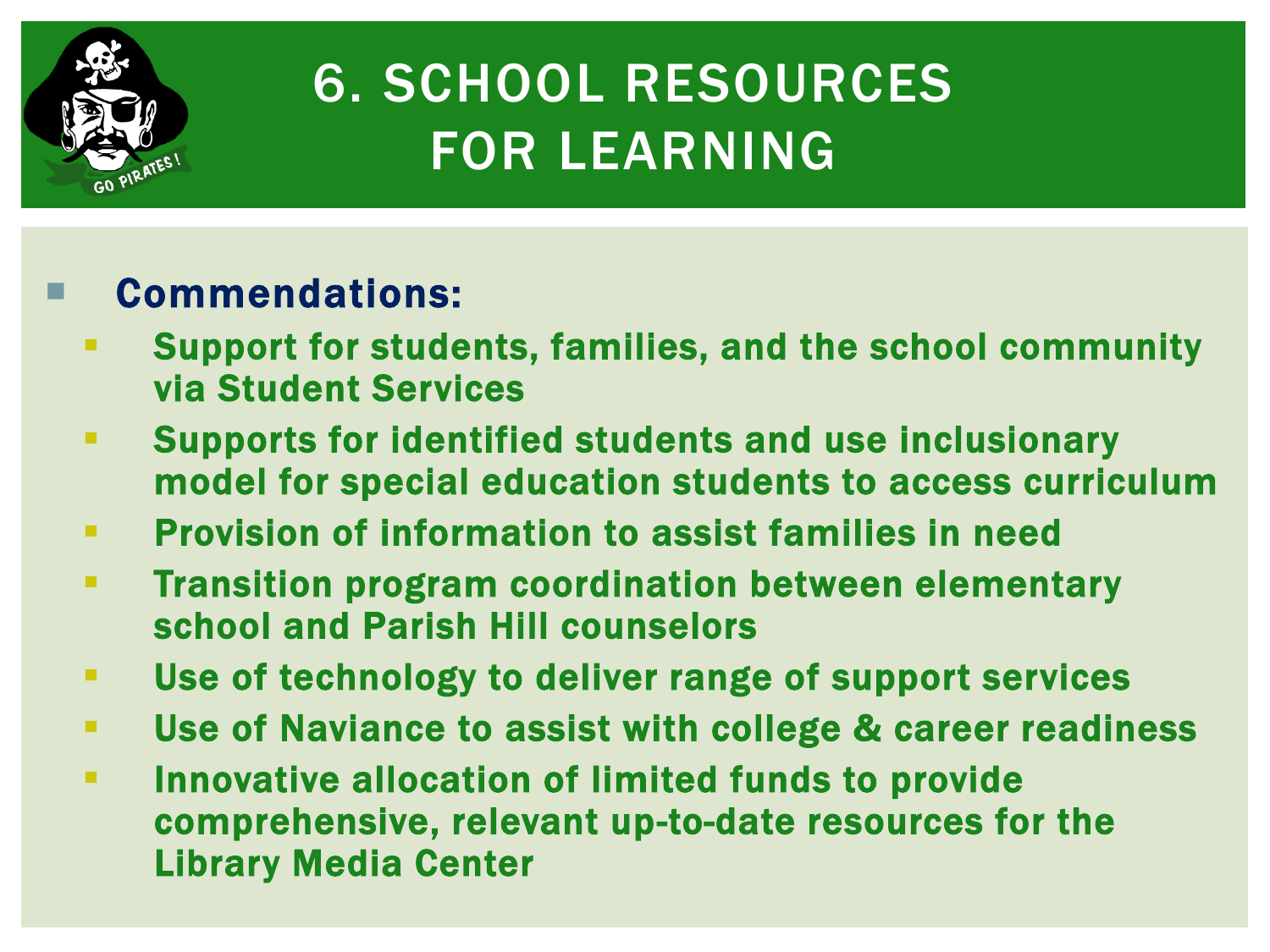

## 6. SCHOOL RESOURCES FOR LEARNING

- Support for students, families, and the school community via Student Services
- Supports for identified students and use inclusionary model for special education students to access curriculum
- **Provision of information to assist families in need**
- **Transition program coordination between elementary** school and Parish Hill counselors
- Use of technology to deliver range of support services
- Use of Naviance to assist with college & career readiness
- **EXTE: Innovative allocation of limited funds to provide** comprehensive, relevant up-to-date resources for the Library Media Center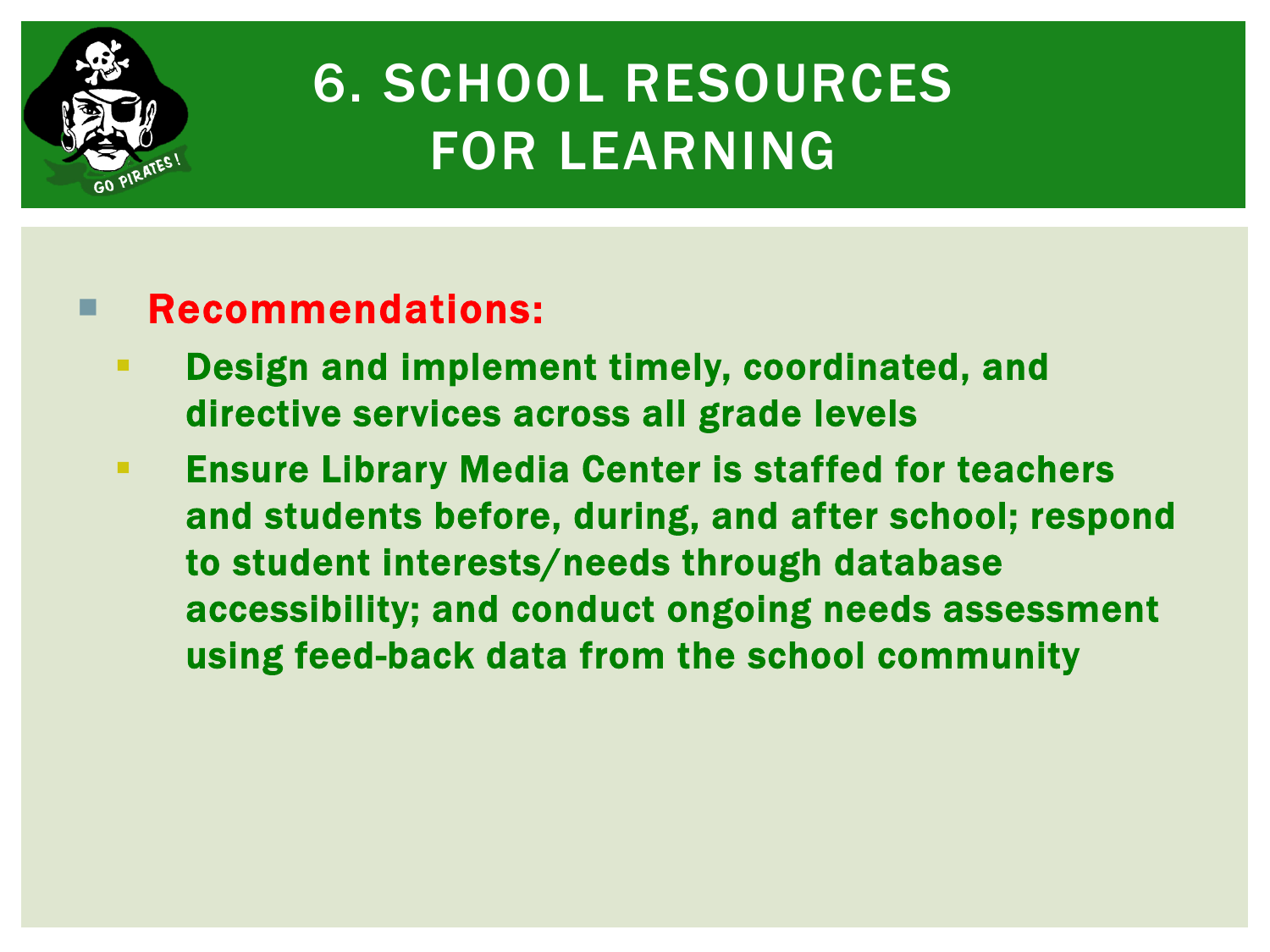

## 6. SCHOOL RESOURCES FOR LEARNING

- **EXECTE Design and implement timely, coordinated, and** directive services across all grade levels
- **Ensure Library Media Center is staffed for teachers** and students before, during, and after school; respond to student interests/needs through database accessibility; and conduct ongoing needs assessment using feed-back data from the school community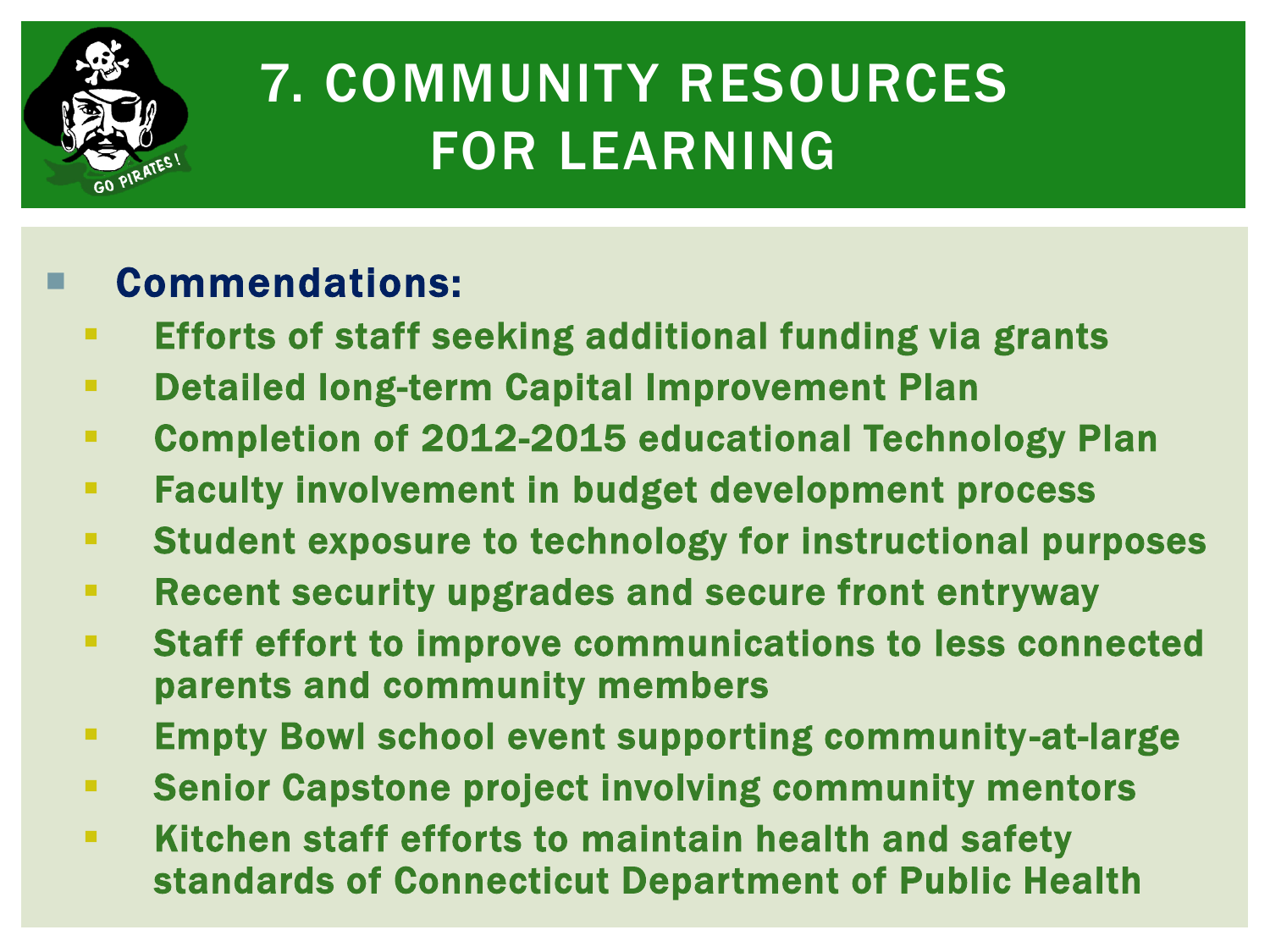

## 7. COMMUNITY RESOURCES FOR LEARNING

- **Efforts of staff seeking additional funding via grants**
- **EXECTE:** Detailed long-term Capital Improvement Plan
- Completion of 2012-2015 educational Technology Plan
- **Faculty involvement in budget development process**
- Student exposure to technology for instructional purposes
- **Recent security upgrades and secure front entryway**
- Staff effort to improve communications to less connected parents and community members
- **Empty Bowl school event supporting community-at-large**
- Senior Capstone project involving community mentors
- **EXTERN FIGHT STATE IS STATE IN STATE IS SET IS SET IS SET IS SET IS SET IS SET IS SET IS SET IS SET IS SET IS S** standards of Connecticut Department of Public Health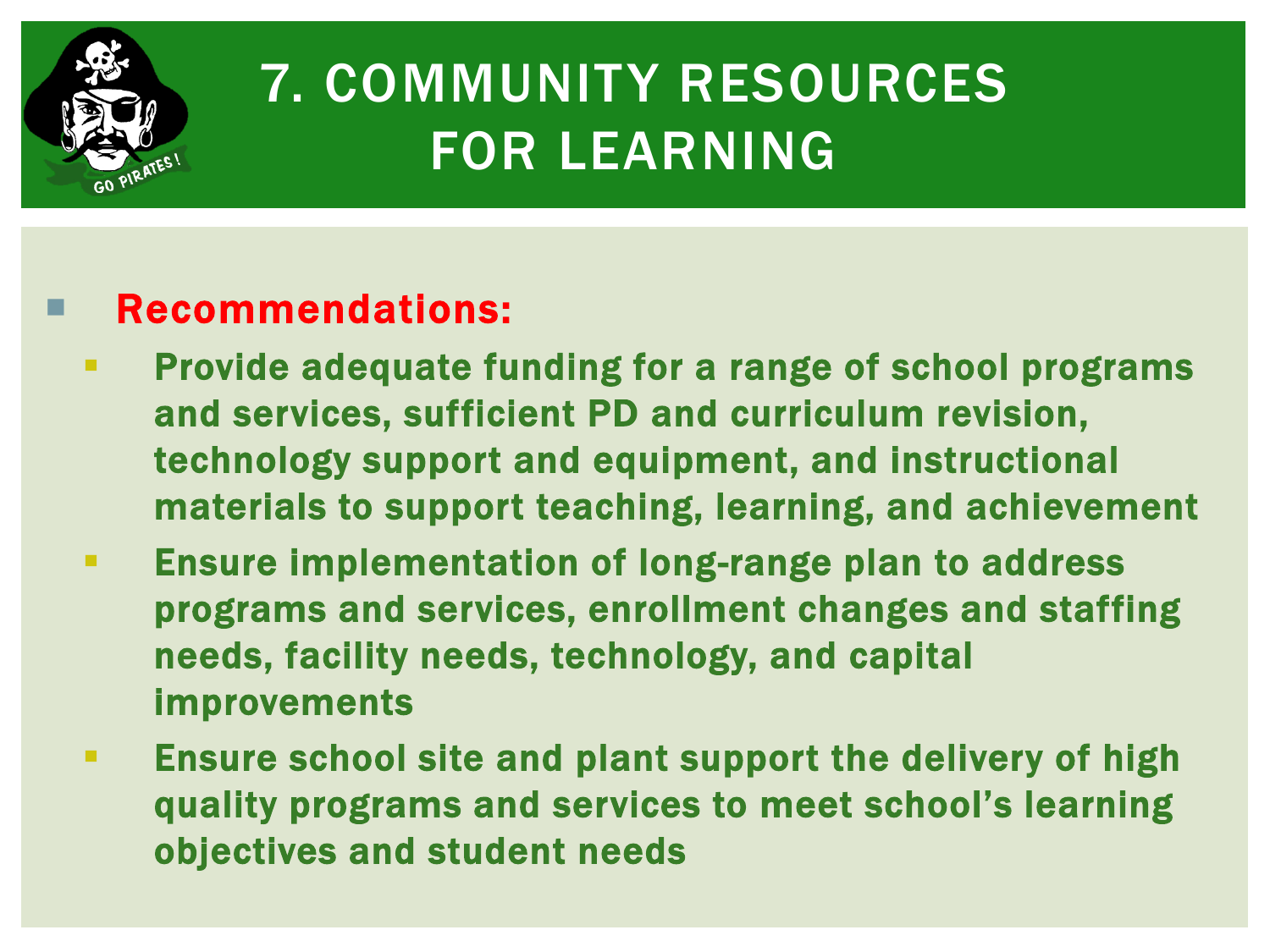

## 7. COMMUNITY RESOURCES FOR LEARNING

- **Provide adequate funding for a range of school programs** and services, sufficient PD and curriculum revision, technology support and equipment, and instructional materials to support teaching, learning, and achievement
- **Ensure implementation of long-range plan to address** programs and services, enrollment changes and staffing needs, facility needs, technology, and capital improvements
- **Ensure school site and plant support the delivery of high** quality programs and services to meet school's learning objectives and student needs